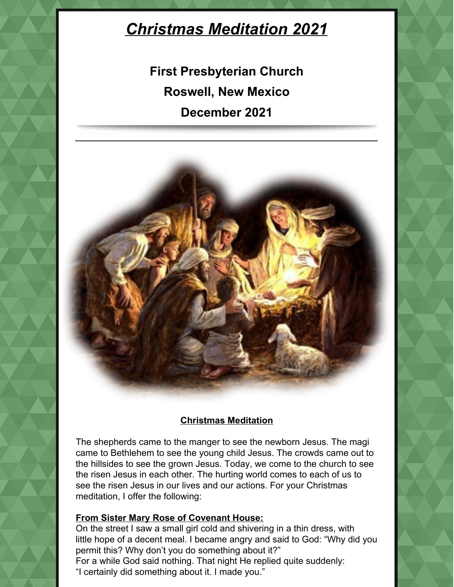# *Christmas Meditation 2021*

**First Presbyterian Church Roswell, New Mexico December 2021**



## **Christmas Meditation**

The shepherds came to the manger to see the newborn Jesus. The magi came to Bethlehem to see the young child Jesus. The crowds came out to the hillsides to see the grown Jesus. Today, we come to the church to see the risen Jesus in each other. The hurting world comes to each of us to see the risen Jesus in our lives and our actions. For your Christmas meditation, I offer the following:

## **From Sister Mary Rose of Covenant House:**

On the street I saw a small girl cold and shivering in a thin dress, with little hope of a decent meal. I became angry and said to God: "Why did you permit this? Why don't you do something about it?" For a while God said nothing. That night He replied quite suddenly: "I certainly did something about it. I made you."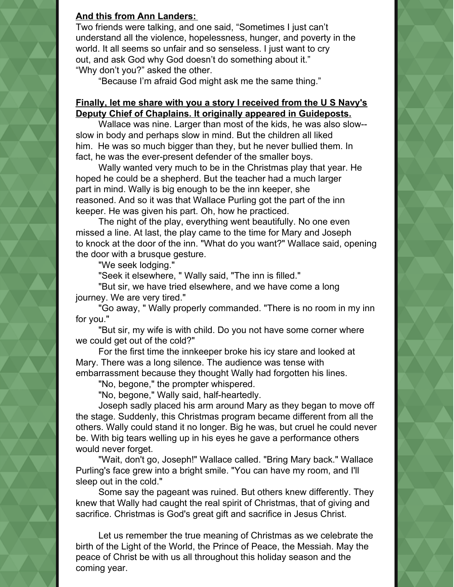#### **And this from Ann Landers:**

Two friends were talking, and one said, "Sometimes I just can't understand all the violence, hopelessness, hunger, and poverty in the world. It all seems so unfair and so senseless. I just want to cry out, and ask God why God doesn't do something about it." "Why don't you?" asked the other.

"Because I'm afraid God might ask me the same thing."

#### **Finally, let me share with you a story I received from the U S Navy's Deputy Chief of Chaplains. It originally appeared in Guideposts.**

Wallace was nine. Larger than most of the kids, he was also slow- slow in body and perhaps slow in mind. But the children all liked him. He was so much bigger than they, but he never bullied them. In fact, he was the ever-present defender of the smaller boys.

Wally wanted very much to be in the Christmas play that year. He hoped he could be a shepherd. But the teacher had a much larger part in mind. Wally is big enough to be the inn keeper, she reasoned. And so it was that Wallace Purling got the part of the inn keeper. He was given his part. Oh, how he practiced.

The night of the play, everything went beautifully. No one even missed a line. At last, the play came to the time for Mary and Joseph to knock at the door of the inn. "What do you want?" Wallace said, opening the door with a brusque gesture.

"We seek lodging."

"Seek it elsewhere, " Wally said, "The inn is filled."

"But sir, we have tried elsewhere, and we have come a long journey. We are very tired."

"Go away, " Wally properly commanded. "There is no room in my inn for you."

"But sir, my wife is with child. Do you not have some corner where we could get out of the cold?"

For the first time the innkeeper broke his icy stare and looked at Mary. There was a long silence. The audience was tense with embarrassment because they thought Wally had forgotten his lines.

"No, begone," the prompter whispered.

"No, begone," Wally said, half-heartedly.

Joseph sadly placed his arm around Mary as they began to move off the stage. Suddenly, this Christmas program became different from all the others. Wally could stand it no longer. Big he was, but cruel he could never be. With big tears welling up in his eyes he gave a performance others would never forget.

"Wait, don't go, Joseph!" Wallace called. "Bring Mary back." Wallace Purling's face grew into a bright smile. "You can have my room, and I'll sleep out in the cold."

Some say the pageant was ruined. But others knew differently. They knew that Wally had caught the real spirit of Christmas, that of giving and sacrifice. Christmas is God's great gift and sacrifice in Jesus Christ.

Let us remember the true meaning of Christmas as we celebrate the birth of the Light of the World, the Prince of Peace, the Messiah. May the peace of Christ be with us all throughout this holiday season and the coming year.